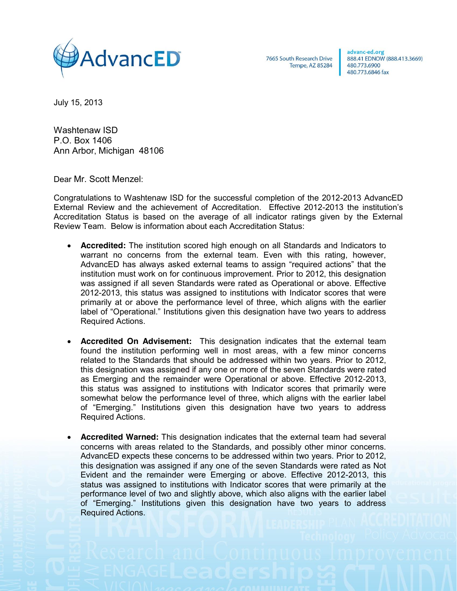

7665 South Research Drive Tempe, AZ 85284 advanc-ed.org 888.41 EDNOW (888.413.3669) 480.773.6900 480,773,6846 fax

July 15, 2013

Washtenaw ISD P.O. Box 1406 Ann Arbor, Michigan 48106

Dear Mr. Scott Menzel:

Congratulations to Washtenaw ISD for the successful completion of the 2012-2013 AdvancED External Review and the achievement of Accreditation. Effective 2012-2013 the institution's Accreditation Status is based on the average of all indicator ratings given by the External Review Team. Below is information about each Accreditation Status:

- **Accredited:** The institution scored high enough on all Standards and Indicators to warrant no concerns from the external team. Even with this rating, however, AdvancED has always asked external teams to assign "required actions" that the institution must work on for continuous improvement. Prior to 2012, this designation was assigned if all seven Standards were rated as Operational or above. Effective 2012-2013, this status was assigned to institutions with Indicator scores that were primarily at or above the performance level of three, which aligns with the earlier label of "Operational." Institutions given this designation have two years to address Required Actions.
- **Accredited On Advisement:** This designation indicates that the external team found the institution performing well in most areas, with a few minor concerns related to the Standards that should be addressed within two years. Prior to 2012, this designation was assigned if any one or more of the seven Standards were rated as Emerging and the remainder were Operational or above. Effective 2012-2013, this status was assigned to institutions with Indicator scores that primarily were somewhat below the performance level of three, which aligns with the earlier label of "Emerging." Institutions given this designation have two years to address Required Actions.
- **Accredited Warned:** This designation indicates that the external team had several concerns with areas related to the Standards, and possibly other minor concerns. AdvancED expects these concerns to be addressed within two years. Prior to 2012, this designation was assigned if any one of the seven Standards were rated as Not Evident and the remainder were Emerging or above. Effective 2012-2013, this status was assigned to institutions with Indicator scores that were primarily at the performance level of two and slightly above, which also aligns with the earlier label of "Emerging." Institutions given this designation have two years to address Required Actions.